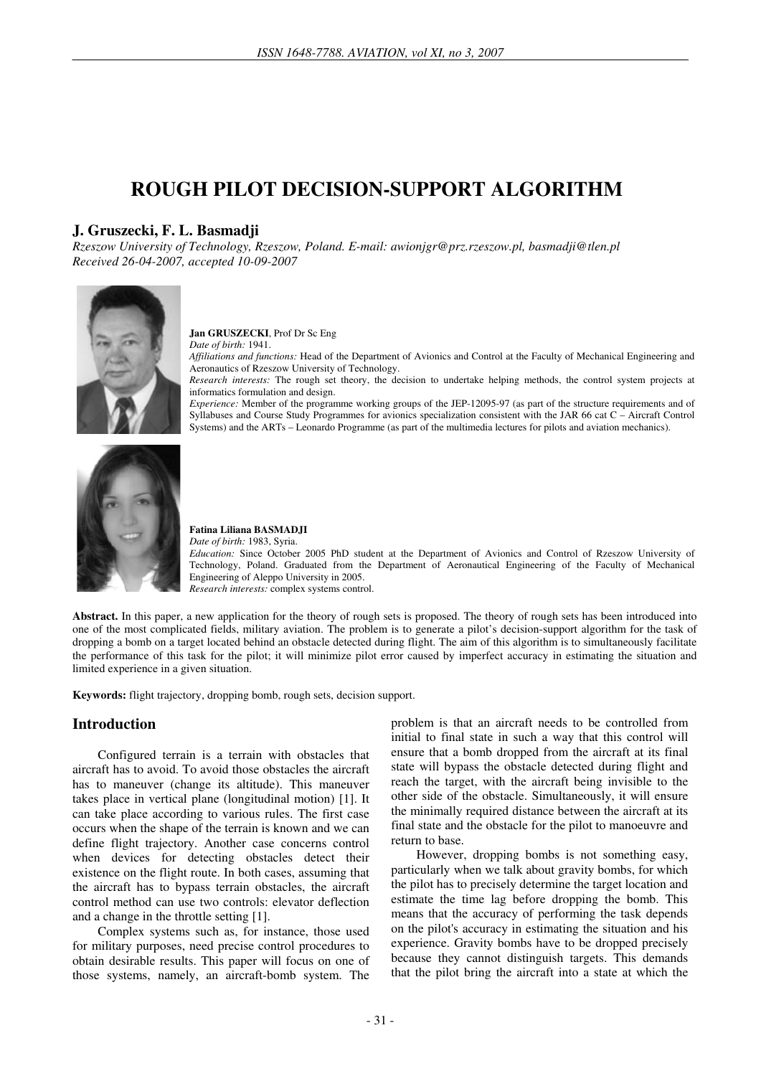# **ROUGH PILOT DECISION-SUPPORT ALGORITHM**

## **J. Gruszecki, F. L. Basmadji**

*Rzeszow University of Technology, Rzeszow, Poland. E-mail: awionjgr@prz.rzeszow.pl, basmadji@tlen.pl Received 26-04-2007, accepted 10-09-2007* 



#### **Jan GRUSZECKI**, Prof Dr Sc Eng

*Date of birth:* 1941.

*Affiliations and functions:* Head of the Department of Avionics and Control at the Faculty of Mechanical Engineering and Aeronautics of Rzeszow University of Technology.

*Research interests:* The rough set theory, the decision to undertake helping methods, the control system projects at informatics formulation and design.

*Experience:* Member of the programme working groups of the JEP-12095-97 (as part of the structure requirements and of Syllabuses and Course Study Programmes for avionics specialization consistent with the JAR 66 cat C – Aircraft Control Systems) and the ARTs – Leonardo Programme (as part of the multimedia lectures for pilots and aviation mechanics).



#### **Fatina Liliana BASMADJI**

*Date of birth:* 1983, Syria. *Education:* Since October 2005 PhD student at the Department of Avionics and Control of Rzeszow University of Technology, Poland. Graduated from the Department of Aeronautical Engineering of the Faculty of Mechanical Engineering of Aleppo University in 2005. *Research interests:* complex systems control.

**Abstract.** In this paper, a new application for the theory of rough sets is proposed. The theory of rough sets has been introduced into one of the most complicated fields, military aviation. The problem is to generate a pilot's decision-support algorithm for the task of dropping a bomb on a target located behind an obstacle detected during flight. The aim of this algorithm is to simultaneously facilitate the performance of this task for the pilot; it will minimize pilot error caused by imperfect accuracy in estimating the situation and limited experience in a given situation.

**Keywords:** flight trajectory, dropping bomb, rough sets, decision support.

# **Introduction**

Configured terrain is a terrain with obstacles that aircraft has to avoid. To avoid those obstacles the aircraft has to maneuver (change its altitude). This maneuver takes place in vertical plane (longitudinal motion) [1]. It can take place according to various rules. The first case occurs when the shape of the terrain is known and we can define flight trajectory. Another case concerns control when devices for detecting obstacles detect their existence on the flight route. In both cases, assuming that the aircraft has to bypass terrain obstacles, the aircraft control method can use two controls: elevator deflection and a change in the throttle setting [1].

Complex systems such as, for instance, those used for military purposes, need precise control procedures to obtain desirable results. This paper will focus on one of those systems, namely, an aircraft-bomb system. The problem is that an aircraft needs to be controlled from initial to final state in such a way that this control will ensure that a bomb dropped from the aircraft at its final state will bypass the obstacle detected during flight and reach the target, with the aircraft being invisible to the other side of the obstacle. Simultaneously, it will ensure the minimally required distance between the aircraft at its final state and the obstacle for the pilot to manoeuvre and return to base.

However, dropping bombs is not something easy, particularly when we talk about gravity bombs, for which the pilot has to precisely determine the target location and estimate the time lag before dropping the bomb. This means that the accuracy of performing the task depends on the pilot's accuracy in estimating the situation and his experience. Gravity bombs have to be dropped precisely because they cannot distinguish targets. This demands that the pilot bring the aircraft into a state at which the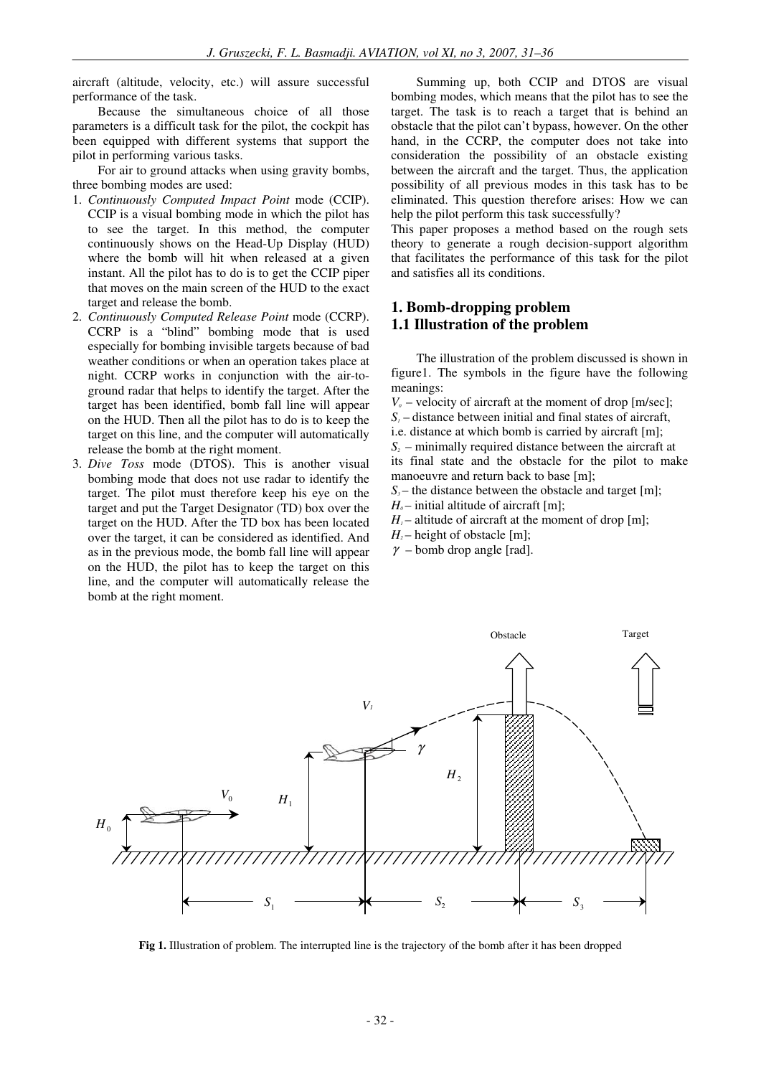aircraft (altitude, velocity, etc.) will assure successful performance of the task.

Because the simultaneous choice of all those parameters is a difficult task for the pilot, the cockpit has been equipped with different systems that support the pilot in performing various tasks.

For air to ground attacks when using gravity bombs, three bombing modes are used:

- 1. *Continuously Computed Impact Point* mode (CCIP). CCIP is a visual bombing mode in which the pilot has to see the target. In this method, the computer continuously shows on the Head-Up Display (HUD) where the bomb will hit when released at a given instant. All the pilot has to do is to get the CCIP piper that moves on the main screen of the HUD to the exact target and release the bomb.
- 2. *Continuously Computed Release Point* mode (CCRP). CCRP is a "blind" bombing mode that is used especially for bombing invisible targets because of bad weather conditions or when an operation takes place at night. CCRP works in conjunction with the air-toground radar that helps to identify the target. After the target has been identified, bomb fall line will appear on the HUD. Then all the pilot has to do is to keep the target on this line, and the computer will automatically release the bomb at the right moment.
- 3. *Dive Toss* mode (DTOS). This is another visual bombing mode that does not use radar to identify the target. The pilot must therefore keep his eye on the target and put the Target Designator (TD) box over the target on the HUD. After the TD box has been located over the target, it can be considered as identified. And as in the previous mode, the bomb fall line will appear on the HUD, the pilot has to keep the target on this line, and the computer will automatically release the bomb at the right moment.

Summing up, both CCIP and DTOS are visual bombing modes, which means that the pilot has to see the target. The task is to reach a target that is behind an obstacle that the pilot can't bypass, however. On the other hand, in the CCRP, the computer does not take into consideration the possibility of an obstacle existing between the aircraft and the target. Thus, the application possibility of all previous modes in this task has to be eliminated. This question therefore arises: How we can help the pilot perform this task successfully?

This paper proposes a method based on the rough sets theory to generate a rough decision-support algorithm that facilitates the performance of this task for the pilot and satisfies all its conditions.

## **1. Bomb-dropping problem 1.1 Illustration of the problem**

The illustration of the problem discussed is shown in figure1. The symbols in the figure have the following meanings:

 $V_0$  – velocity of aircraft at the moment of drop [m/sec];

 $S<sub>i</sub>$  – distance between initial and final states of aircraft,

i.e. distance at which bomb is carried by aircraft [m];

 $S<sub>2</sub>$  – minimally required distance between the aircraft at

its final state and the obstacle for the pilot to make manoeuvre and return back to base [m];

 $S<sub>3</sub>$  – the distance between the obstacle and target [m];

 $H<sub>0</sub>$  – initial altitude of aircraft [m];

 $H_1$ – altitude of aircraft at the moment of drop [m];

 $H_2$ – height of obstacle [m];

 $\gamma$  – bomb drop angle [rad].



**Fig 1.** Illustration of problem. The interrupted line is the trajectory of the bomb after it has been dropped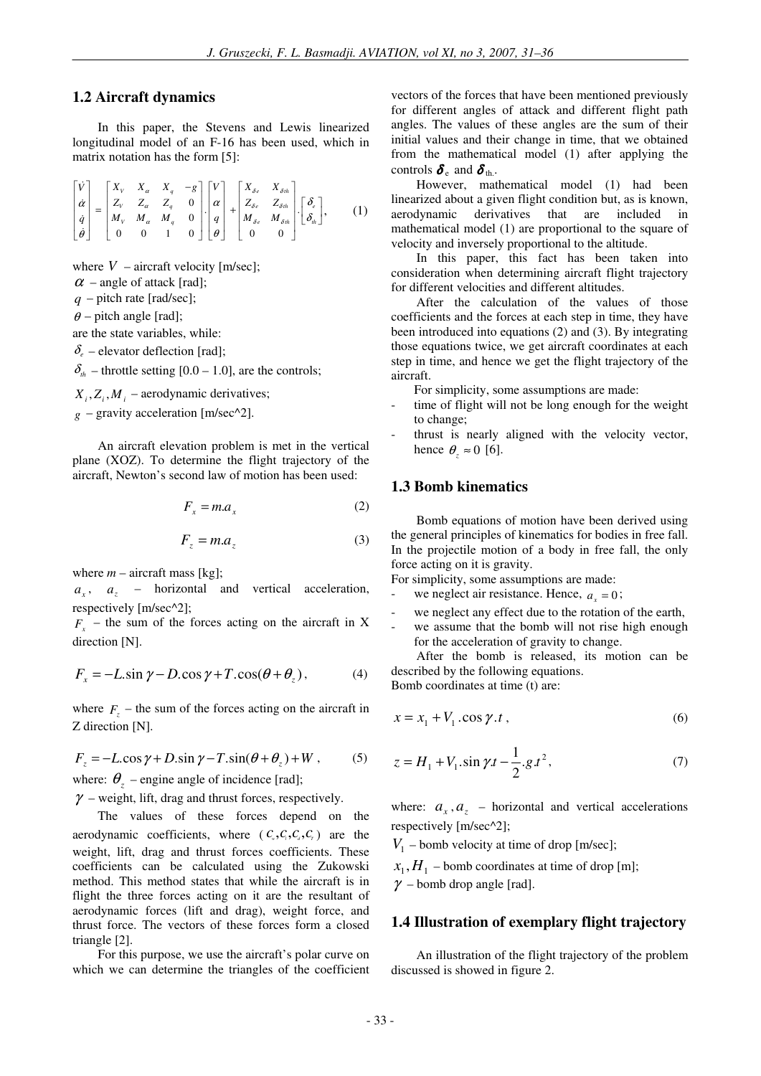#### **1.2 Aircraft dynamics**

In this paper, the Stevens and Lewis linearized longitudinal model of an F-16 has been used, which in matrix notation has the form [5]:

$$
\begin{bmatrix} \dot{V} \\ \dot{\alpha} \\ \dot{q} \\ \dot{\theta} \end{bmatrix} = \begin{bmatrix} X_v & X_a & X_q & -g \\ Z_v & Z_a & Z_q & 0 \\ M_v & M_a & M_q & 0 \\ 0 & 0 & 1 & 0 \end{bmatrix} \begin{bmatrix} V \\ \alpha \\ q \\ \theta \end{bmatrix} + \begin{bmatrix} X_{\delta e} & X_{\delta h} \\ Z_{\delta e} & Z_{\delta h} \\ M_{\delta e} & M_{\delta h} \\ 0 & 0 \end{bmatrix} \cdot \begin{bmatrix} \delta_e \\ \delta_h \end{bmatrix}, \quad (1)
$$

where  $V$  – aircraft velocity [m/sec];

 $\alpha$  – angle of attack [rad];

*q* – pitch rate [rad/sec];

 $\theta$  – pitch angle [rad];

are the state variables, while:

 $\delta_e$  – elevator deflection [rad];

 $\delta_{th}$  – throttle setting [0.0 – 1.0], are the controls;

 $X_i$ ,  $Z_i$ ,  $M_i$  – aerodynamic derivatives;

 $g$  – gravity acceleration [m/sec^2].

An aircraft elevation problem is met in the vertical plane (XOZ). To determine the flight trajectory of the aircraft, Newton's second law of motion has been used:

$$
F_x = ma_x \tag{2}
$$

$$
F_z = ma_z \tag{3}
$$

where  $m -$  aircraft mass [kg];

 $a_x$ ,  $a_z$  – horizontal and vertical acceleration, respectively [m/sec^2];

 $F_x$  – the sum of the forces acting on the aircraft in X direction [N].

$$
F_x = -L \sin \gamma - D \cos \gamma + T \cos(\theta + \theta_z), \tag{4}
$$

where  $F_z$  – the sum of the forces acting on the aircraft in Z direction [N].

$$
F_z = -L\cos\gamma + D\sin\gamma - T\sin(\theta + \theta_z) + W \,, \tag{5}
$$

where:  $\theta_z$  – engine angle of incidence [rad];

 $\gamma$  – weight, lift, drag and thrust forces, respectively.

The values of these forces depend on the aerodynamic coefficients, where  $(C_{\nu}, C_{\nu}, C_{\nu}, C_{\nu})$  are the weight, lift, drag and thrust forces coefficients. These coefficients can be calculated using the Zukowski method. This method states that while the aircraft is in flight the three forces acting on it are the resultant of aerodynamic forces (lift and drag), weight force, and thrust force. The vectors of these forces form a closed triangle [2].

For this purpose, we use the aircraft's polar curve on which we can determine the triangles of the coefficient vectors of the forces that have been mentioned previously for different angles of attack and different flight path angles. The values of these angles are the sum of their initial values and their change in time, that we obtained from the mathematical model (1) after applying the controls  $\delta_{\rm e}$  and  $\delta_{\rm th}$ .

However, mathematical model (1) had been linearized about a given flight condition but, as is known, aerodynamic derivatives that are included in mathematical model (1) are proportional to the square of velocity and inversely proportional to the altitude.

In this paper, this fact has been taken into consideration when determining aircraft flight trajectory for different velocities and different altitudes.

After the calculation of the values of those coefficients and the forces at each step in time, they have been introduced into equations (2) and (3). By integrating those equations twice, we get aircraft coordinates at each step in time, and hence we get the flight trajectory of the aircraft.

For simplicity, some assumptions are made:

- time of flight will not be long enough for the weight to change;
- thrust is nearly aligned with the velocity vector, hence  $\theta_z \approx 0$  [6].

## **1.3 Bomb kinematics**

Bomb equations of motion have been derived using the general principles of kinematics for bodies in free fall. In the projectile motion of a body in free fall, the only force acting on it is gravity.

For simplicity, some assumptions are made:

- we neglect air resistance. Hence,  $a_x = 0$ ;
- we neglect any effect due to the rotation of the earth,
- we assume that the bomb will not rise high enough for the acceleration of gravity to change.

After the bomb is released, its motion can be described by the following equations. Bomb coordinates at time (t) are:

$$
x = x_1 + V_1 \cdot \cos \gamma \cdot t \tag{6}
$$

$$
z = H_1 + V_1 \cdot \sin \gamma t - \frac{1}{2} g t^2, \tag{7}
$$

where:  $a_x$ ,  $a_z$  – horizontal and vertical accelerations respectively [m/sec^2];

*V*1 – bomb velocity at time of drop [m/sec];

 $x_1, H_1$  – bomb coordinates at time of drop [m];

 $\gamma$  – bomb drop angle [rad].

#### **1.4 Illustration of exemplary flight trajectory**

An illustration of the flight trajectory of the problem discussed is showed in figure 2.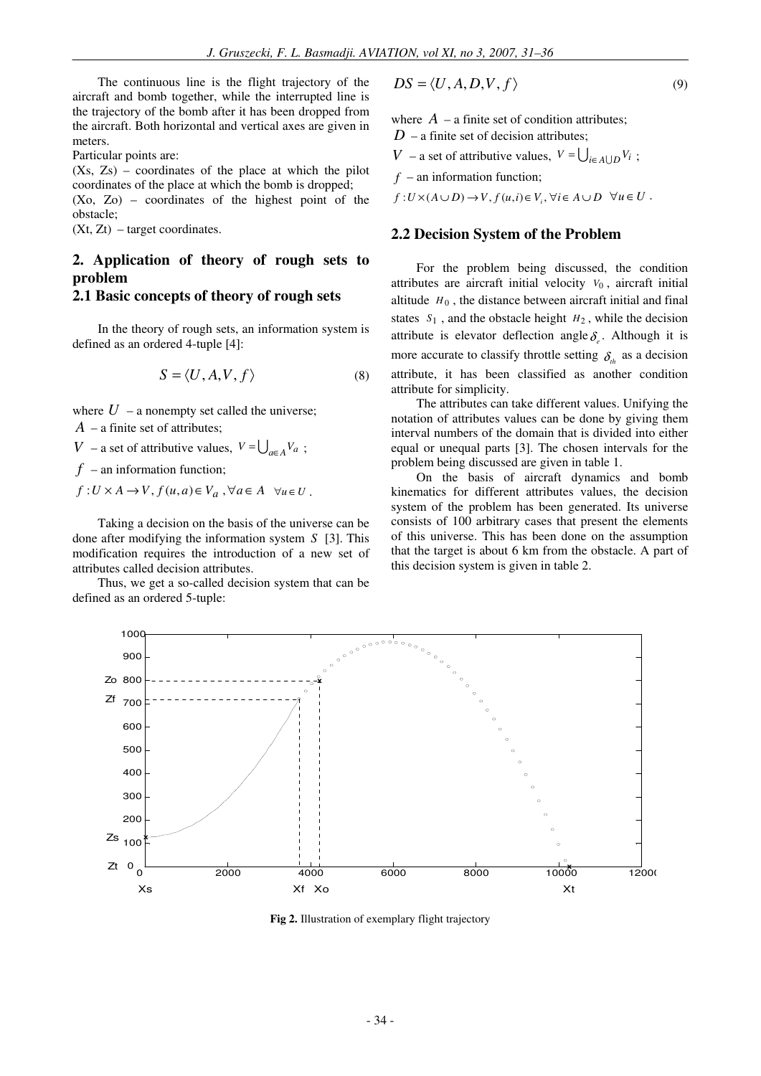The continuous line is the flight trajectory of the aircraft and bomb together, while the interrupted line is the trajectory of the bomb after it has been dropped from the aircraft. Both horizontal and vertical axes are given in meters.

Particular points are:

(Xs, Zs) – coordinates of the place at which the pilot coordinates of the place at which the bomb is dropped; (Xo, Zo) – coordinates of the highest point of the

obstacle;

(Xt, Zt) – target coordinates.

# **2. Application of theory of rough sets to problem**

## **2.1 Basic concepts of theory of rough sets**

In the theory of rough sets, an information system is defined as an ordered 4-tuple [4]:

$$
S = \langle U, A, V, f \rangle \tag{8}
$$

where  $U$  – a nonempty set called the universe;

*A* – a finite set of attributes;

*V* – a set of attributive values,  $V = \bigcup_{a \in A} V_a$ ;

 $f$  – an information function;

 $f: U \times A \rightarrow V, f(u, a) \in V_a, \forall a \in A \quad \forall u \in U$ .

Taking a decision on the basis of the universe can be done after modifying the information system *S* [3]. This modification requires the introduction of a new set of attributes called decision attributes.

Thus, we get a so-called decision system that can be defined as an ordered 5-tuple:

$$
DS = \langle U, A, D, V, f \rangle \tag{9}
$$

where  $A$  – a finite set of condition attributes;

 $D$  – a finite set of decision attributes;

*V* − a set of attributive values,  $V = \bigcup_{i \in A \cup D} V_i$ ;

*f* – an information function;

 $f: U \times (A \cup D) \to V, f(u,i) \in V_i, \forall i \in A \cup D \quad \forall u \in U$ .

#### **2.2 Decision System of the Problem**

For the problem being discussed, the condition attributes are aircraft initial velocity *V*<sup>0</sup> , aircraft initial altitude  $H_0$ , the distance between aircraft initial and final states  $S_1$ , and the obstacle height  $H_2$ , while the decision attribute is elevator deflection angle  $\delta_e$ . Although it is more accurate to classify throttle setting  $\delta_{th}$  as a decision attribute, it has been classified as another condition attribute for simplicity.

The attributes can take different values. Unifying the notation of attributes values can be done by giving them interval numbers of the domain that is divided into either equal or unequal parts [3]. The chosen intervals for the problem being discussed are given in table 1.

On the basis of aircraft dynamics and bomb kinematics for different attributes values, the decision system of the problem has been generated. Its universe consists of 100 arbitrary cases that present the elements of this universe. This has been done on the assumption that the target is about 6 km from the obstacle. A part of this decision system is given in table 2.



**Fig 2.** Illustration of exemplary flight trajectory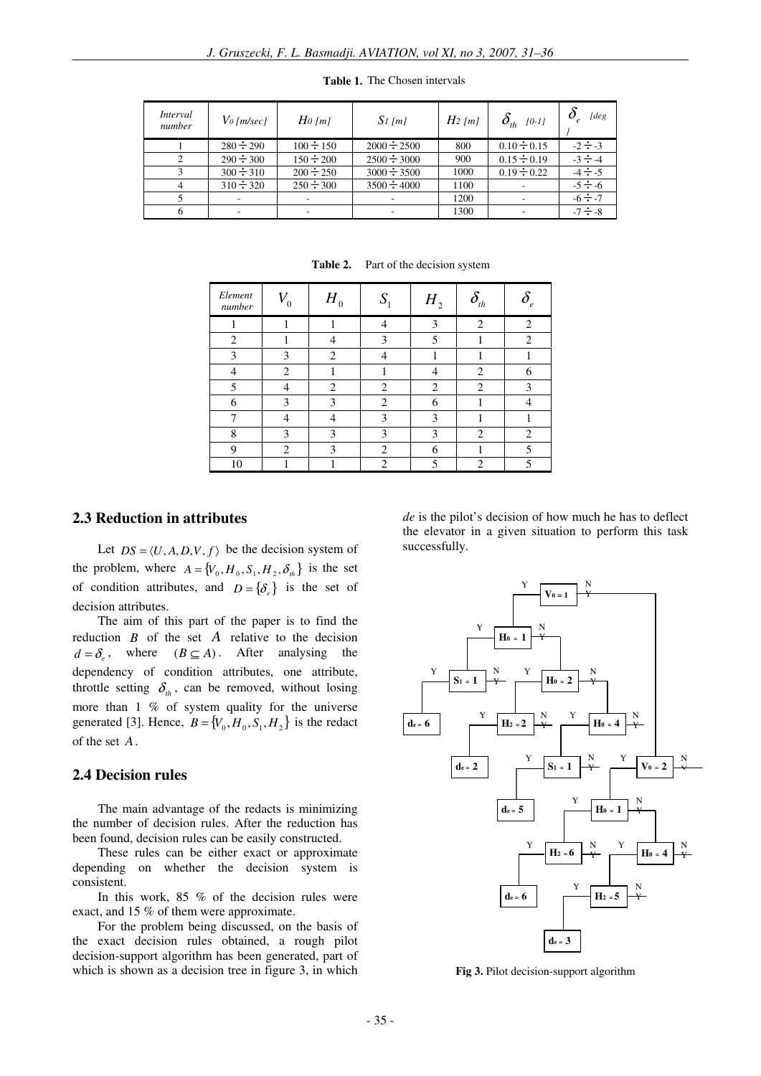| Interval<br>number | $V_0$ [m/sec]  | $H_0$ [m]      | $S1$ [m]         | $H_2$ [m] | $\delta_{th}$ [0-1] | [deg         |
|--------------------|----------------|----------------|------------------|-----------|---------------------|--------------|
|                    | $280 \div 290$ | $100 \div 150$ | $2000 \div 2500$ | 800       | $0.10 \div 0.15$    | $-2 \div -3$ |
| $\mathcal{L}$      | $290 \div 300$ | $150 \div 200$ | $2500 \div 3000$ | 900       | $0.15 \div 0.19$    | $-3 \div -4$ |
|                    | $300 \div 310$ | $200 \div 250$ | $3000 \div 3500$ | 1000      | $0.19 \div 0.22$    | $-4 \div -5$ |
|                    | $310 \div 320$ | $250 \div 300$ | $3500 \div 4000$ | 1100      |                     | $-5 \div -6$ |
|                    |                |                |                  | 1200      |                     | $-6 \div -7$ |
|                    |                |                |                  | 1300      |                     | $-7 \div -8$ |

**Table 1.** The Chosen intervals

| Element<br>number        | 0              | $H_{_0}$       | $\mathbf C$    | $H\rm_{2}$     | $\boldsymbol{o}_{_{th}}$    | $\epsilon$     |
|--------------------------|----------------|----------------|----------------|----------------|-----------------------------|----------------|
|                          |                |                |                | 3              | $\mathcal{D}$               | $\mathcal{D}$  |
| $\overline{c}$           |                |                | 3              | 5              |                             | ↑              |
| 3                        | 3              | $\mathfrak{D}$ |                |                |                             |                |
|                          | $\mathfrak{D}$ |                |                |                | $\overline{c}$              |                |
| $\overline{\phantom{0}}$ |                | $\mathcal{D}$  | $\mathcal{D}$  | $\mathfrak{D}$ | $\mathcal{D}_{\mathcal{L}}$ | $\mathbf 3$    |
| 6                        | 3              | 3              | $\mathfrak{D}$ | 6              |                             |                |
|                          |                |                | 3              | 3              |                             |                |
| 8                        | 3              | 3              | 3              | 3              | $\overline{2}$              | $\mathfrak{D}$ |
| 9                        | 2              | 3              | $\mathcal{L}$  | 6              |                             |                |
| 10                       |                |                | $\mathcal{D}$  | 5              | 2                           |                |

Table 2. Part of the decision system

## **2.3 Reduction in attributes**

Let  $DS = \langle U, A, D, V, f \rangle$  be the decision system of the problem, where  $A = \{V_0, H_0, S_1, H_2, \delta_h\}$  is the set of condition attributes, and  $D = \{\delta_\ell\}$  is the set of decision attributes.

The aim of this part of the paper is to find the reduction *B* of the set *A* relative to the decision  $d = \delta_e$ , where  $(B \subseteq A)$ . After analysing the dependency of condition attributes, one attribute, throttle setting  $\delta_{th}$ , can be removed, without losing more than 1 % of system quality for the universe generated [3]. Hence,  $B = \{V_0, H_0, S_1, H_2\}$  is the redact of the set *A*.

## **2.4 Decision rules**

The main advantage of the redacts is minimizing the number of decision rules. After the reduction has been found, decision rules can be easily constructed.

These rules can be either exact or approximate depending on whether the decision system is consistent.

In this work, 85 % of the decision rules were exact, and 15 % of them were approximate.

For the problem being discussed, on the basis of the exact decision rules obtained, a rough pilot decision-support algorithm has been generated, part of which is shown as a decision tree in figure 3, in which *de* is the pilot's decision of how much he has to deflect the elevator in a given situation to perform this task successfully.



**Fig 3.** Pilot decision-support algorithm